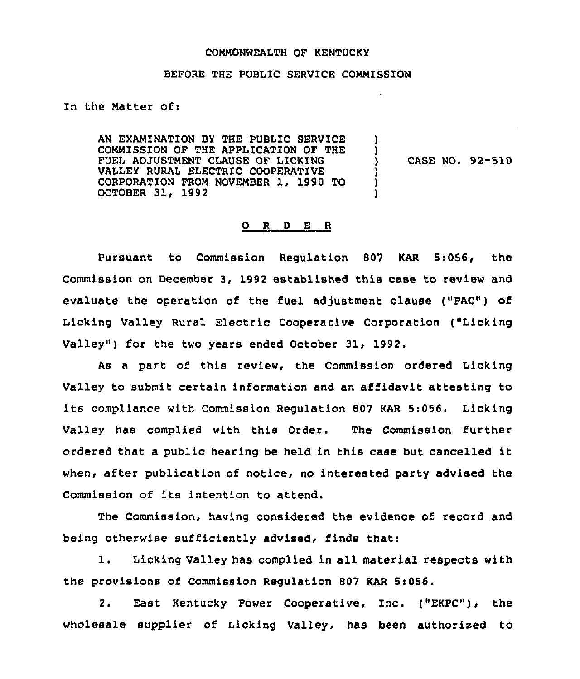#### COMMONWEALTH OF KENTUCKY

## BEFORE THE PUBLIC SERVICE COMMISSION

In the Matter of:

AN EXAMINATION BY THE PUBLIC SERVICE COMMISSION OF THE APPLICATION OF THE FUEL ADJUSTMENT CLAUSE OF LICKING VALLEY RURAL ELECTRIC COOPERATIVE CORPORATION FROM NOVEMBER 1, 1990 TO OCTOBER 31, 1992 ) ) )  $\mathbf{\tilde{j}}$ )

) CASE NO, 92-510

### 0 <sup>R</sup> <sup>D</sup> E <sup>R</sup>

Pursuant to Commission Regulation 807 KAR Si056, the Commission on December 3, 1992 established this case to review and evaluate the operation of the fuel adjustment clause ("FAC") of Licking Valley Rural Electric Cooperative Corporation ("Licking Valley") for the two years ended October 31, 1992.

As a part of this review, the Commission ordered Licking Valley to submit certain information and an affidavit attesting to its compliance with Commission Regulation <sup>807</sup> KAR Si056. Licking Valley has complied with this Order. The Commission further ordered that <sup>a</sup> public hearing be held in this case but cancelled it when, after publication of notice, no interested party advised the Commission of its intention to attend.

The Commission, having considered the evidence of record and being otherwise sufficiently advised, finds that:

1. Licking Valley has complied in all material respects with the provisions of Commission Regulation 807 KAR 5i056.

2. East Kentucky Power Cooperative, Inc. ("EKPC"), the wholesale supplier of Licking Valley, has been authorized to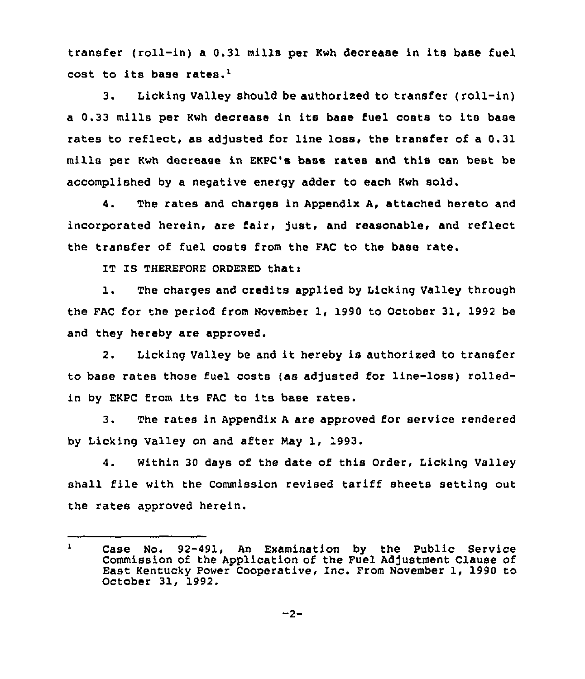transfer (roll-in) a 0.31 mills per Kwh decrease in its base fuel cost to its base rates.'.

З. Licking Valley should be authorized to transfer (roll-in) <sup>a</sup> 0.33 mills per Kwh decrease in its base fuel costs to its base rates to reflect, as adjusted for line loss, the transfer of a 0.31 mills per Kwh decrease in EKPC's base rates and this can best be accomplished by a negative energy adder to each Kwh sold.

4. The rates and charges in Appendix A, attached hereto and incorporated herein, are fair, just, and reasonable, and reflect the transfer of fuel costs from the FAC to the base rate.

IT IS THEREFORE ORDERED that:

l. The charges and credits applied by Licking Valley through the FAC for the period from November 1, 1990 to October 31, 1992 be and they hereby are approved.

2. Licking Valley be and it hereby is authorized to transter to base rates those fuel costs (as adjusted for line-loss) rolledin by EKPC from its FAC to its base rates.

3. The rates in Appendix <sup>A</sup> are approved for service rendered by Licking Valley on and after Nay 1, 1993.

4. Within 30 days of the date of this Order, Licking Valley shall file with the Commission revised tariff sheets setting out the rates approved herein.

 $\mathbf 1$ Case No. 92-491, An Examination by the Public Service Commission of the Application of the Fuel Adjustment Clause of East Kentucky Power Cooperative, Inc. From November 1, 1990 to October 31, 1992.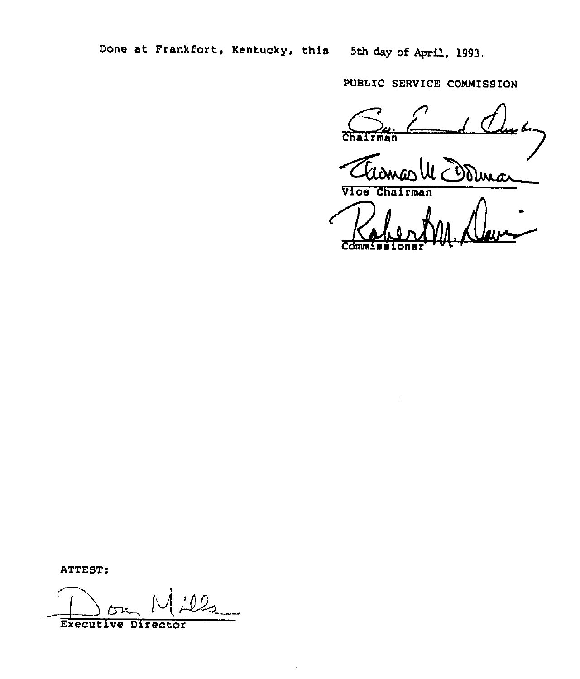Done at Frankfort, Kentucky, this 5th day of April, 1993.

PUBLIC SERVICE COMMISSION

ہ بیسا  $man$ dina Vice Chairman

**Commissione** 

ATTEST:

Executive Director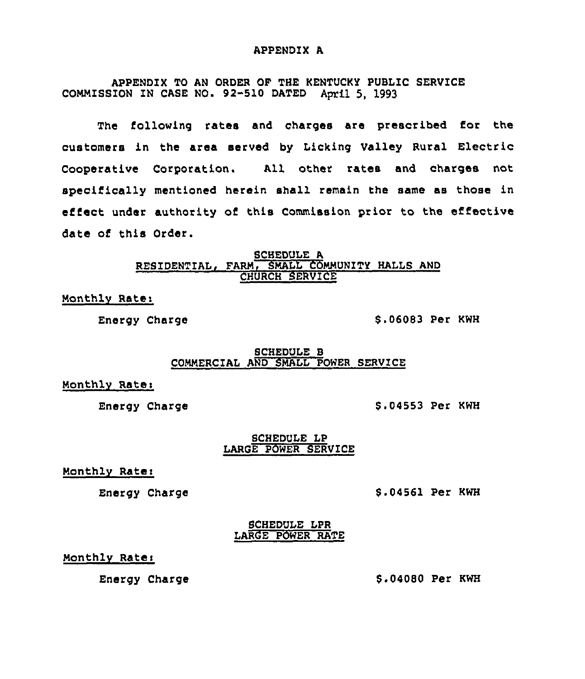#### APPENDIX A

APPENDIX TO AN ORDER OF THE KENTUCKY PUBLIC SERVICE COMMISSION IN CASE NO. 92-510 DATED April 5, 1993

The following rates and charges are prescribed for the customers in the area served by Licking Valley Rural Electric Cooperative Corporation. All other rates and charges not specifically mentioned herein shall remain the same as those in effect under authority of this Commission prior to the effective date of this Order.

#### SCHEDULE A RESIDENTIAL, FARM, SMALL COMMUNITY HALLS AND CHURCH SERVICE

Monthly Rate:

Energy Charge 8.06083 Per KWH

### SCHEDULE 8 COMMERCIAL AND SMALL POWER SERVICE

Monthly Rate:

Energy Charge 8.04553 Per KWH

## SCHEDULE LP LARGE POWER SERVICE

Monthly Rate:

Energy Charge

8.04561 Per KWH

SCHEDULE LPR LARGE POWER RATE

# Monthlv Ratei

Energy Charge

\$ .04080 Per KWH